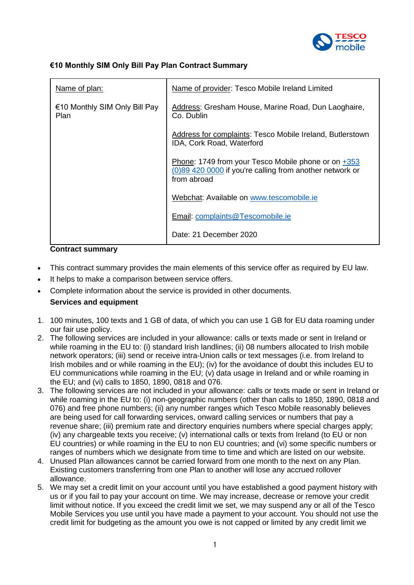

## **€10 Monthly SIM Only Bill Pay Plan Contract Summary**

| Name of plan:                                | Name of provider: Tesco Mobile Ireland Limited                                                                                   |
|----------------------------------------------|----------------------------------------------------------------------------------------------------------------------------------|
| €10 Monthly SIM Only Bill Pay<br><b>Plan</b> | Address: Gresham House, Marine Road, Dun Laoghaire,<br>Co. Dublin                                                                |
|                                              | Address for complaints: Tesco Mobile Ireland, Butlerstown<br>IDA, Cork Road, Waterford                                           |
|                                              | Phone: 1749 from your Tesco Mobile phone or on $+353$<br>(0)89 420 0000 if you're calling from another network or<br>from abroad |
|                                              | Webchat: Available on www.tescomobile.ie                                                                                         |
|                                              | Email: complaints@Tescomobile.ie                                                                                                 |
|                                              | Date: 21 December 2020                                                                                                           |

### **Contract summary**

- This contract summary provides the main elements of this service offer as required by EU law.
- It helps to make a comparison between service offers.
- Complete information about the service is provided in other documents. **Services and equipment**
- 1. 100 minutes, 100 texts and 1 GB of data, of which you can use 1 GB for EU data roaming under our fair use policy.
- 2. The following services are included in your allowance: calls or texts made or sent in Ireland or while roaming in the EU to: (i) standard Irish landlines; (ii) 08 numbers allocated to Irish mobile network operators; (iii) send or receive intra-Union calls or text messages (i.e. from Ireland to Irish mobiles and or while roaming in the EU); (iv) for the avoidance of doubt this includes EU to EU communications while roaming in the EU; (v) data usage in Ireland and or while roaming in the EU; and (vi) calls to 1850, 1890, 0818 and 076.
- 3. The following services are not included in your allowance: calls or texts made or sent in Ireland or while roaming in the EU to: (i) non-geographic numbers (other than calls to 1850, 1890, 0818 and 076) and free phone numbers; (ii) any number ranges which Tesco Mobile reasonably believes are being used for call forwarding services, onward calling services or numbers that pay a revenue share; (iii) premium rate and directory enquiries numbers where special charges apply; (iv) any chargeable texts you receive; (v) international calls or texts from Ireland (to EU or non EU countries) or while roaming in the EU to non EU countries; and (vi) some specific numbers or ranges of numbers which we designate from time to time and which are listed on our website.
- 4. Unused Plan allowances cannot be carried forward from one month to the next on any Plan. Existing customers transferring from one Plan to another will lose any accrued rollover allowance.
- 5. We may set a credit limit on your account until you have established a good payment history with us or if you fail to pay your account on time. We may increase, decrease or remove your credit limit without notice. If you exceed the credit limit we set, we may suspend any or all of the Tesco Mobile Services you use until you have made a payment to your account. You should not use the credit limit for budgeting as the amount you owe is not capped or limited by any credit limit we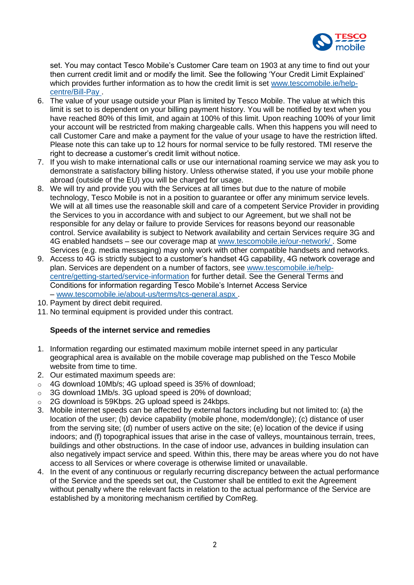

set. You may contact Tesco Mobile's Customer Care team on 1903 at any time to find out your then current credit limit and or modify the limit. See the following 'Your Credit Limit Explained' which provides further information as to how the credit limit is set [www.tescomobile.ie/help](https://www.tescomobile.ie/help-centre/Bill-Pay)[centre/Bill-Pay](https://www.tescomobile.ie/help-centre/Bill-Pay) .

- 6. The value of your usage outside your Plan is limited by Tesco Mobile. The value at which this limit is set to is dependent on your billing payment history. You will be notified by text when you have reached 80% of this limit, and again at 100% of this limit. Upon reaching 100% of your limit your account will be restricted from making chargeable calls. When this happens you will need to call Customer Care and make a payment for the value of your usage to have the restriction lifted. Please note this can take up to 12 hours for normal service to be fully restored. TMI reserve the right to decrease a customer's credit limit without notice.
- 7. If you wish to make international calls or use our international roaming service we may ask you to demonstrate a satisfactory billing history. Unless otherwise stated, if you use your mobile phone abroad (outside of the EU) you will be charged for usage.
- 8. We will try and provide you with the Services at all times but due to the nature of mobile technology, Tesco Mobile is not in a position to guarantee or offer any minimum service levels. We will at all times use the reasonable skill and care of a competent Service Provider in providing the Services to you in accordance with and subject to our Agreement, but we shall not be responsible for any delay or failure to provide Services for reasons beyond our reasonable control. Service availability is subject to Network availability and certain Services require 3G and 4G enabled handsets – see our coverage map at [www.tescomobile.ie/our-network/](https://www.tescomobile.ie/our-network/) . Some Services (e.g. media messaging) may only work with other compatible handsets and networks.
- 9. Access to 4G is strictly subject to a customer's handset 4G capability, 4G network coverage and plan. Services are dependent on a number of factors, see [www.tescomobile.ie/help](https://www.tescomobile.ie/help-centre/getting-started/service-information)[centre/getting-started/service-information](https://www.tescomobile.ie/help-centre/getting-started/service-information) for further detail. See the General Terms and Conditions for information regarding Tesco Mobile's Internet Access Service – [www.tescomobile.ie/about-us/terms/tcs-general.aspx](https://www.tescomobile.ie/about-us/terms/tcs-general.aspx) .
- 10. Payment by direct debit required.
- 11. No terminal equipment is provided under this contract.

## **Speeds of the internet service and remedies**

- 1. Information regarding our estimated maximum mobile internet speed in any particular geographical area is available on the mobile coverage map published on the Tesco Mobile website from time to time.
- 2. Our estimated maximum speeds are:
- o 4G download 10Mb/s; 4G upload speed is 35% of download;
- o 3G download 1Mb/s. 3G upload speed is 20% of download;
- o 2G download is 59Kbps. 2G upload speed is 24kbps.
- 3. Mobile internet speeds can be affected by external factors including but not limited to: (a) the location of the user; (b) device capability (mobile phone, modem/dongle); (c) distance of user from the serving site; (d) number of users active on the site; (e) location of the device if using indoors; and (f) topographical issues that arise in the case of valleys, mountainous terrain, trees, buildings and other obstructions. In the case of indoor use, advances in building insulation can also negatively impact service and speed. Within this, there may be areas where you do not have access to all Services or where coverage is otherwise limited or unavailable.
- 4. In the event of any continuous or regularly recurring discrepancy between the actual performance of the Service and the speeds set out, the Customer shall be entitled to exit the Agreement without penalty where the relevant facts in relation to the actual performance of the Service are established by a monitoring mechanism certified by ComReg.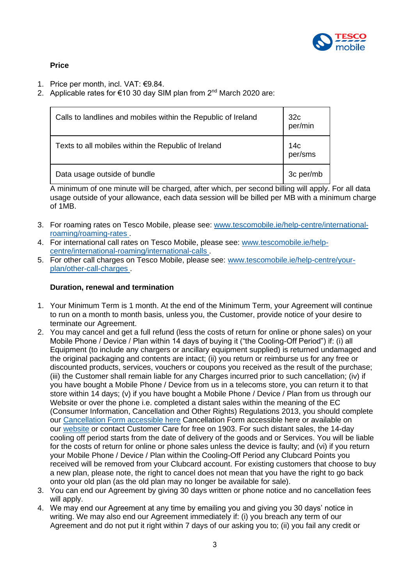

# **Price**

- 1. Price per month, incl. VAT: €9.84.
- 2. Applicable rates for €10 30 day SIM plan from  $2<sup>nd</sup>$  March 2020 are:

| Calls to landlines and mobiles within the Republic of Ireland | 32 <sub>c</sub><br>per/min |
|---------------------------------------------------------------|----------------------------|
| Texts to all mobiles within the Republic of Ireland           | 14с<br>per/sms             |
| Data usage outside of bundle                                  | 3c per/mb                  |

A minimum of one minute will be charged, after which, per second billing will apply. For all data usage outside of your allowance, each data session will be billed per MB with a minimum charge of 1MB.

- 3. For roaming rates on Tesco Mobile, please see: [www.tescomobile.ie/help-centre/international](https://www.tescomobile.ie/help-centre/international-roaming/roaming-rates)[roaming/roaming-rates](https://www.tescomobile.ie/help-centre/international-roaming/roaming-rates) .
- 4. For international call rates on Tesco Mobile, please see: [www.tescomobile.ie/help](https://www.tescomobile.ie/help-centre/international-roaming/international-calls)[centre/international-roaming/international-calls](https://www.tescomobile.ie/help-centre/international-roaming/international-calls) .
- 5. For other call charges on Tesco Mobile, please see: [www.tescomobile.ie/help-centre/your](https://www.tescomobile.ie/help-centre/your-plan/other-call-charges)[plan/other-call-charges](https://www.tescomobile.ie/help-centre/your-plan/other-call-charges) .

## **Duration, renewal and termination**

- 1. Your Minimum Term is 1 month. At the end of the Minimum Term, your Agreement will continue to run on a month to month basis, unless you, the Customer, provide notice of your desire to terminate our Agreement.
- 2. You may cancel and get a full refund (less the costs of return for online or phone sales) on your Mobile Phone / Device / Plan within 14 days of buying it ("the Cooling-Off Period") if: (i) all Equipment (to include any chargers or ancillary equipment supplied) is returned undamaged and the original packaging and contents are intact; (ii) you return or reimburse us for any free or discounted products, services, vouchers or coupons you received as the result of the purchase; (iii) the Customer shall remain liable for any Charges incurred prior to such cancellation; (iv) if you have bought a Mobile Phone / Device from us in a telecoms store, you can return it to that store within 14 days; (v) if you have bought a Mobile Phone / Device / Plan from us through our Website or over the phone i.e. completed a distant sales within the meaning of the EC (Consumer Information, Cancellation and Other Rights) Regulations 2013, you should complete our [Cancellation Form accessible here](https://www.tescomobile.ie/about-us/terms/TMI_Cancellation_Form.pdf) Cancellation Form accessible here or available on our [website](https://www.tescomobile.ie/about-us/terms/tcs-general.aspx) or contact Customer Care for free on 1903. For such distant sales, the 14-day cooling off period starts from the date of delivery of the goods and or Services. You will be liable for the costs of return for online or phone sales unless the device is faulty; and (vi) if you return your Mobile Phone / Device / Plan within the Cooling-Off Period any Clubcard Points you received will be removed from your Clubcard account. For existing customers that choose to buy a new plan, please note, the right to cancel does not mean that you have the right to go back onto your old plan (as the old plan may no longer be available for sale).
- 3. You can end our Agreement by giving 30 days written or phone notice and no cancellation fees will apply.
- 4. We may end our Agreement at any time by emailing you and giving you 30 days' notice in writing. We may also end our Agreement immediately if: (i) you breach any term of our Agreement and do not put it right within 7 days of our asking you to; (ii) you fail any credit or